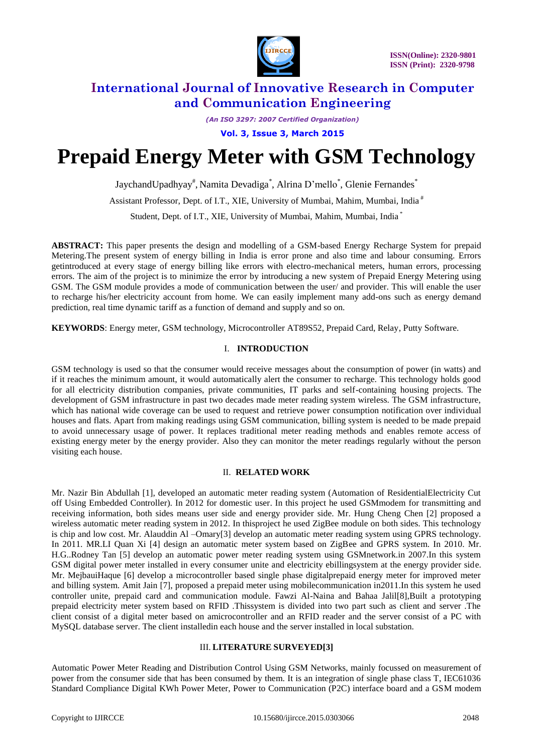

*(An ISO 3297: 2007 Certified Organization)*

**Vol. 3, Issue 3, March 2015**

# **Prepaid Energy Meter with GSM Technology**

JaychandUpadhyay<sup>#</sup>, Namita Devadiga<sup>\*</sup>, Alrina D'mello<sup>\*</sup>, Glenie Fernandes<sup>\*</sup>

Assistant Professor, Dept. of I.T., XIE, University of Mumbai, Mahim, Mumbai, India #

Student, Dept. of I.T., XIE, University of Mumbai, Mahim, Mumbai, India \*

**ABSTRACT:** This paper presents the design and modelling of a GSM-based Energy Recharge System for prepaid Metering.The present system of energy billing in India is error prone and also time and labour consuming. Errors getintroduced at every stage of energy billing like errors with electro-mechanical meters, human errors, processing errors. The aim of the project is to minimize the error by introducing a new system of Prepaid Energy Metering using GSM. The GSM module provides a mode of communication between the user/ and provider. This will enable the user to recharge his/her electricity account from home. We can easily implement many add-ons such as energy demand prediction, real time dynamic tariff as a function of demand and supply and so on.

**KEYWORDS**: Energy meter, GSM technology, Microcontroller AT89S52, Prepaid Card, Relay, Putty Software.

## I. **INTRODUCTION**

GSM technology is used so that the consumer would receive messages about the consumption of power (in watts) and if it reaches the minimum amount, it would automatically alert the consumer to recharge. This technology holds good for all electricity distribution companies, private communities, IT parks and self-containing housing projects. The development of GSM infrastructure in past two decades made meter reading system wireless. The GSM infrastructure, which has national wide coverage can be used to request and retrieve power consumption notification over individual houses and flats. Apart from making readings using GSM communication, billing system is needed to be made prepaid to avoid unnecessary usage of power. It replaces traditional meter reading methods and enables remote access of existing energy meter by the energy provider. Also they can monitor the meter readings regularly without the person visiting each house.

#### II. **RELATED WORK**

Mr. Nazir Bin Abdullah [1], developed an automatic meter reading system (Automation of ResidentialElectricity Cut off Using Embedded Controller). In 2012 for domestic user. In this project he used GSMmodem for transmitting and receiving information, both sides means user side and energy provider side. Mr. Hung Cheng Chen [2] proposed a wireless automatic meter reading system in 2012. In thisproject he used ZigBee module on both sides. This technology is chip and low cost. Mr. Alauddin Al –Omary[3] develop an automatic meter reading system using GPRS technology. In 2011. MR.LI Quan Xi [4] design an automatic meter system based on ZigBee and GPRS system. In 2010. Mr. H.G..Rodney Tan [5] develop an automatic power meter reading system using GSMnetwork.in 2007.In this system GSM digital power meter installed in every consumer unite and electricity ebillingsystem at the energy provider side. Mr. MejbauiHaque [6] develop a microcontroller based single phase digitalprepaid energy meter for improved meter and billing system. Amit Jain [7], proposed a prepaid meter using mobilecommunication in2011.In this system he used controller unite, prepaid card and communication module. Fawzi Al-Naina and Bahaa Jalil[8],Built a prototyping prepaid electricity meter system based on RFID .Thissystem is divided into two part such as client and server .The client consist of a digital meter based on amicrocontroller and an RFID reader and the server consist of a PC with MySQL database server. The client installedin each house and the server installed in local substation.

### III. **LITERATURE SURVEYED[3]**

Automatic Power Meter Reading and Distribution Control Using GSM Networks, mainly focussed on measurement of power from the consumer side that has been consumed by them. It is an integration of single phase class T, IEC61036 Standard Compliance Digital KWh Power Meter, Power to Communication (P2C) interface board and a GSM modem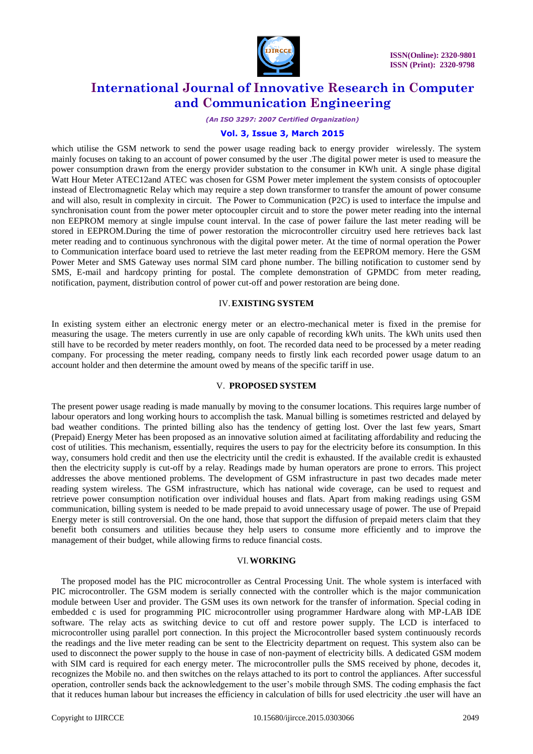

#### *(An ISO 3297: 2007 Certified Organization)*

#### **Vol. 3, Issue 3, March 2015**

which utilise the GSM network to send the power usage reading back to energy provider wirelessly. The system mainly focuses on taking to an account of power consumed by the user .The digital power meter is used to measure the power consumption drawn from the energy provider substation to the consumer in KWh unit. A single phase digital Watt Hour Meter ATEC12and ATEC was chosen for GSM Power meter implement the system consists of optocoupler instead of Electromagnetic Relay which may require a step down transformer to transfer the amount of power consume and will also, result in complexity in circuit. The Power to Communication (P2C) is used to interface the impulse and synchronisation count from the power meter optocoupler circuit and to store the power meter reading into the internal non EEPROM memory at single impulse count interval. In the case of power failure the last meter reading will be stored in EEPROM.During the time of power restoration the microcontroller circuitry used here retrieves back last meter reading and to continuous synchronous with the digital power meter. At the time of normal operation the Power to Communication interface board used to retrieve the last meter reading from the EEPROM memory. Here the GSM Power Meter and SMS Gateway uses normal SIM card phone number. The billing notification to customer send by SMS, E-mail and hardcopy printing for postal. The complete demonstration of GPMDC from meter reading, notification, payment, distribution control of power cut-off and power restoration are being done.

#### IV.**EXISTING SYSTEM**

In existing system either an electronic energy meter or an electro-mechanical meter is fixed in the premise for measuring the usage. The meters currently in use are only capable of recording kWh units. The kWh units used then still have to be recorded by meter readers monthly, on foot. The recorded data need to be processed by a meter reading company. For processing the meter reading, company needs to firstly link each recorded power usage datum to an account holder and then determine the amount owed by means of the specific tariff in use.

#### V. **PROPOSED SYSTEM**

The present power usage reading is made manually by moving to the consumer locations. This requires large number of labour operators and long working hours to accomplish the task. Manual billing is sometimes restricted and delayed by bad weather conditions. The printed billing also has the tendency of getting lost. Over the last few years, Smart (Prepaid) Energy Meter has been proposed as an innovative solution aimed at facilitating affordability and reducing the cost of utilities. This mechanism, essentially, requires the users to pay for the electricity before its consumption. In this way, consumers hold credit and then use the electricity until the credit is exhausted. If the available credit is exhausted then the electricity supply is cut-off by a relay. Readings made by human operators are prone to errors. This project addresses the above mentioned problems. The development of GSM infrastructure in past two decades made meter reading system wireless. The GSM infrastructure, which has national wide coverage, can be used to request and retrieve power consumption notification over individual houses and flats. Apart from making readings using GSM communication, billing system is needed to be made prepaid to avoid unnecessary usage of power. The use of Prepaid Energy meter is still controversial. On the one hand, those that support the diffusion of prepaid meters claim that they benefit both consumers and utilities because they help users to consume more efficiently and to improve the management of their budget, while allowing firms to reduce financial costs.

#### VI.**WORKING**

The proposed model has the PIC microcontroller as Central Processing Unit. The whole system is interfaced with PIC microcontroller. The GSM modem is serially connected with the controller which is the major communication module between User and provider. The GSM uses its own network for the transfer of information. Special coding in embedded c is used for programming PIC microcontroller using programmer Hardware along with MP-LAB IDE software. The relay acts as switching device to cut off and restore power supply. The LCD is interfaced to microcontroller using parallel port connection. In this project the Microcontroller based system continuously records the readings and the live meter reading can be sent to the Electricity department on request. This system also can be used to disconnect the power supply to the house in case of non-payment of electricity bills. A dedicated GSM modem with SIM card is required for each energy meter. The microcontroller pulls the SMS received by phone, decodes it, recognizes the Mobile no. and then switches on the relays attached to its port to control the appliances. After successful operation, controller sends back the acknowledgement to the user's mobile through SMS. The coding emphasis the fact that it reduces human labour but increases the efficiency in calculation of bills for used electricity .the user will have an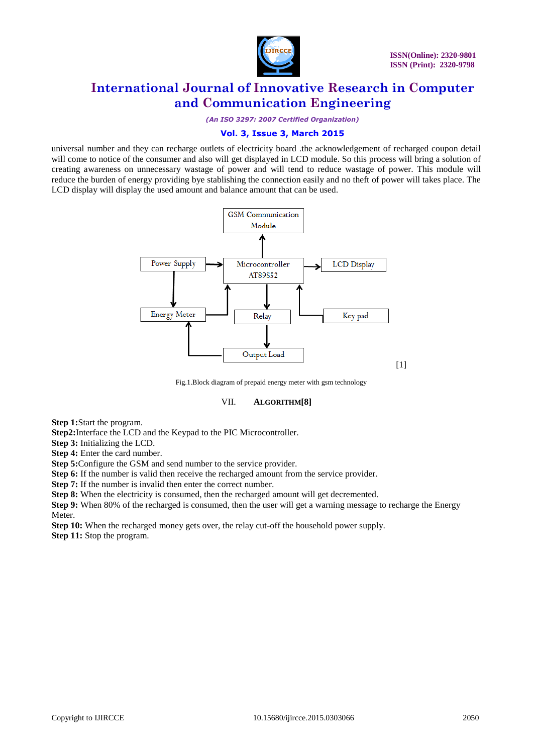

*(An ISO 3297: 2007 Certified Organization)*

## **Vol. 3, Issue 3, March 2015**

universal number and they can recharge outlets of electricity board .the acknowledgement of recharged coupon detail will come to notice of the consumer and also will get displayed in LCD module. So this process will bring a solution of creating awareness on unnecessary wastage of power and will tend to reduce wastage of power. This module will reduce the burden of energy providing bye stablishing the connection easily and no theft of power will takes place. The LCD display will display the used amount and balance amount that can be used.



Fig.1.Block diagram of prepaid energy meter with gsm technology

### VII. **ALGORITHM[8]**

**Step 1:**Start the program.

**Step2:**Interface the LCD and the Keypad to the PIC Microcontroller.

**Step 3:** Initializing the LCD.

**Step 4:** Enter the card number.

**Step 5:**Configure the GSM and send number to the service provider.

**Step 6:** If the number is valid then receive the recharged amount from the service provider.

**Step 7:** If the number is invalid then enter the correct number.

**Step 8:** When the electricity is consumed, then the recharged amount will get decremented.

**Step 9:** When 80% of the recharged is consumed, then the user will get a warning message to recharge the Energy Meter.

**Step 10:** When the recharged money gets over, the relay cut-off the household power supply. **Step 11:** Stop the program.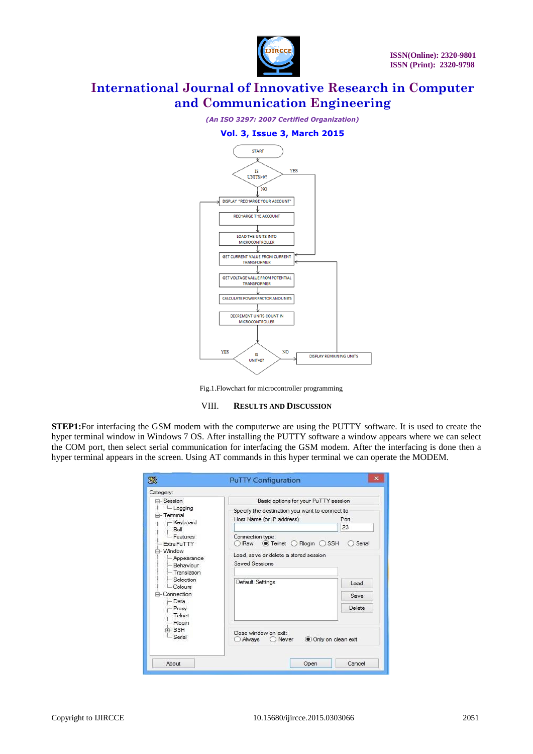



Fig.1.Flowchart for microcontroller programming

### VIII. **RESULTS AND DISCUSSION**

**STEP1:**For interfacing the GSM modem with the computerwe are using the PUTTY software. It is used to create the hyper terminal window in Windows 7 OS. After installing the PUTTY software a window appears where we can select the COM port, then select serial communication for interfacing the GSM modem. After the interfacing is done then a hyper terminal appears in the screen. Using AT commands in this hyper terminal we can operate the MODEM.

| $\Box$ Session                                                           | Basic options for your PuTTY session                                                                                                                      |                              |
|--------------------------------------------------------------------------|-----------------------------------------------------------------------------------------------------------------------------------------------------------|------------------------------|
| Logging<br>≐ Terminal<br>Keyboard<br>Bell<br>- Features<br>- Extra PuTTY | Specify the destination you want to connect to<br>Host Name (or IP address)<br>Connection type:<br>$\odot$ Telnet $\bigcirc$ Rlogin $\bigcirc$ SSH<br>Raw | Port<br>23<br>Serial         |
| - Window<br>- Appearance<br>Behaviour<br>- Translation<br>Selection      | Load, save or delete a stored session<br>Saved Sessions<br>Default Settings                                                                               | Load                         |
| $C$ olours<br>- Connection<br>- Data<br>- Proxy<br>- Telnet              |                                                                                                                                                           | <b>Save</b><br><b>Delete</b> |
| - Rlogin<br><b>EL SSH</b><br>- Serial                                    | Close window on exit:<br>Always<br>◯ Never                                                                                                                | Only on clean exit           |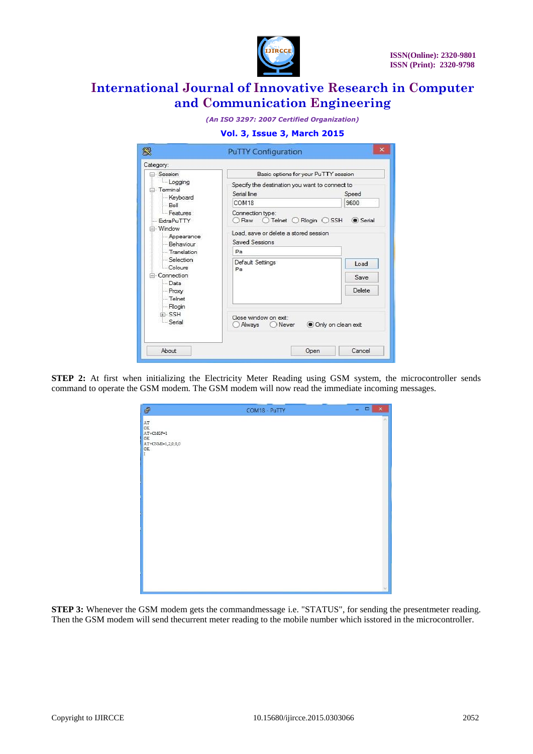

*(An ISO 3297: 2007 Certified Organization)*

|  |  | <b>Vol. 3, Issue 3, March 2015</b> |  |
|--|--|------------------------------------|--|
|  |  |                                    |  |

| 象                                                                                                  | <b>PuTTY Configuration</b>                                                                  | $\times$      |  |
|----------------------------------------------------------------------------------------------------|---------------------------------------------------------------------------------------------|---------------|--|
| Category:                                                                                          |                                                                                             |               |  |
| □ Session                                                                                          | Basic options for your PuTTY session                                                        |               |  |
| Logging<br>- Terminal<br>Keyboard<br>Bell                                                          | Specify the destination you want to connect to<br>Serial line<br>COM <sub>18</sub>          | Speed<br>9600 |  |
| Features<br>ExtraPuTTY                                                                             | Connection type:<br>$\bigcirc$ Telnet $\bigcirc$ Rlogin $\bigcirc$ SSH<br>(c) Serial<br>Raw |               |  |
| = Window<br>- Appearance<br>- Behaviour                                                            | Load, save or delete a stored session<br>Saved Sessions                                     |               |  |
| - Translation                                                                                      | Pa                                                                                          |               |  |
| Selection<br>Colours<br>Connection<br>- Data<br>- Proxy<br>- Telnet<br>- Rlogin<br>F-SSH<br>Serial | Default Settings<br>Pa                                                                      | Load          |  |
|                                                                                                    |                                                                                             | Save          |  |
|                                                                                                    |                                                                                             | Delete        |  |
|                                                                                                    | Close window on exit:<br>Only on clean exit<br>Always<br>Never                              |               |  |
| About                                                                                              | Open                                                                                        | Cancel        |  |

**STEP 2:** At first when initializing the Electricity Meter Reading using GSM system, the microcontroller sends command to operate the GSM modem. The GSM modem will now read the immediate incoming messages.

| $\mathcal{C}^{\mathbb{D}}$                                                                        | COM18 - PuTTY | $\frac{1}{2}$<br>$\mathsf{x}$ |
|---------------------------------------------------------------------------------------------------|---------------|-------------------------------|
| $_{\mathrm{OK}}^{\mathrm{AT}}$<br>$AT+CMGF=1$<br>OK<br>$AT+CNMI=1,2,0,0,0$<br>$_{\rm I}^{\rm OK}$ |               | Ä                             |
|                                                                                                   |               |                               |
|                                                                                                   |               |                               |
|                                                                                                   |               |                               |
|                                                                                                   |               |                               |

**STEP 3:** Whenever the GSM modem gets the commandmessage i.e. "STATUS", for sending the presentmeter reading. Then the GSM modem will send thecurrent meter reading to the mobile number which isstored in the microcontroller.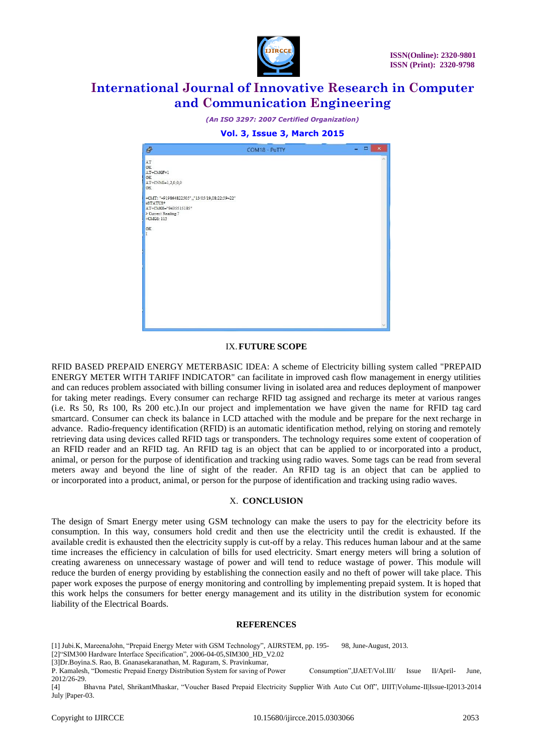

*(An ISO 3297: 2007 Certified Organization)*

### **Vol. 3, Issue 3, March 2015**

| \$                                                                                                                                                                                                                  | COM18 - PuTTY | $ -$<br>$\pmb{\times}$ |
|---------------------------------------------------------------------------------------------------------------------------------------------------------------------------------------------------------------------|---------------|------------------------|
| AT<br>OK<br>AT+CMGF=1<br><b>OK</b><br>AT+CNMI=1,2,0,0,0<br><b>OK</b><br>+CMT: "+919864822505",,"13/05/19,08:22:59+22"<br>#STATUS*<br>AT+CMGS="9435515185"<br>> Current Reading: 7<br>$+CMGS: 115$<br><b>OK</b><br>T |               |                        |
|                                                                                                                                                                                                                     |               |                        |

## IX.**FUTURE SCOPE**

RFID BASED PREPAID ENERGY METERBASIC IDEA: A scheme of Electricity billing system called "PREPAID ENERGY METER WITH TARIFF INDICATOR" can facilitate in improved cash flow management in energy utilities and can reduces problem associated with billing consumer living in isolated area and reduces deployment of manpower for taking meter readings. Every consumer can recharge RFID tag assigned and recharge its meter at various ranges (i.e. Rs 50, Rs 100, Rs 200 etc.).In our project and implementation we have given the name for RFID tag card smartcard. Consumer can check its balance in LCD attached with the module and be prepare for the next recharge in advance. Radio-frequency identification (RFID) is an automatic identification method, relying on storing and remotely retrieving data using devices called RFID tags or transponders. The technology requires some extent of cooperation of an RFID reader and an RFID tag. An RFID tag is an object that can be applied to or incorporated into a product, animal, or person for the purpose of identification and tracking using radio waves. Some tags can be read from several meters away and beyond the line of sight of the reader. An RFID tag is an object that can be applied to or incorporated into a product, animal, or person for the purpose of identification and tracking using radio waves.

### X. **CONCLUSION**

The design of Smart Energy meter using GSM technology can make the users to pay for the electricity before its consumption. In this way, consumers hold credit and then use the electricity until the credit is exhausted. If the available credit is exhausted then the electricity supply is cut-off by a relay. This reduces human labour and at the same time increases the efficiency in calculation of bills for used electricity. Smart energy meters will bring a solution of creating awareness on unnecessary wastage of power and will tend to reduce wastage of power. This module will reduce the burden of energy providing by establishing the connection easily and no theft of power will take place. This paper work exposes the purpose of energy monitoring and controlling by implementing prepaid system. It is hoped that this work helps the consumers for better energy management and its utility in the distribution system for economic liability of the Electrical Boards.

#### **REFERENCES**

[1] Jubi.K, MareenaJohn, "Prepaid Energy Meter with GSM Technology", AIJRSTEM, pp. 195- 98, June-August, 2013.

[2]"SIM300 Hardware Interface Specification", 2006-04-05,SIM300\_HD\_V2.02

[3]Dr.Boyina.S. Rao, B. Gnanasekaranathan, M. Raguram, S. Pravinkumar,

[4] Bhavna Patel, ShrikantMhaskar, "Voucher Based Prepaid Electricity Supplier With Auto Cut Off", IJIIT|Volume-II|Issue-I|2013-2014 July |Paper-03.

P. Kamalesh, "Domestic Prepaid Energy Distribution System for saving of Power Consumption",IJAET/Vol.III/ Issue II/April- June, 2012/26-29.